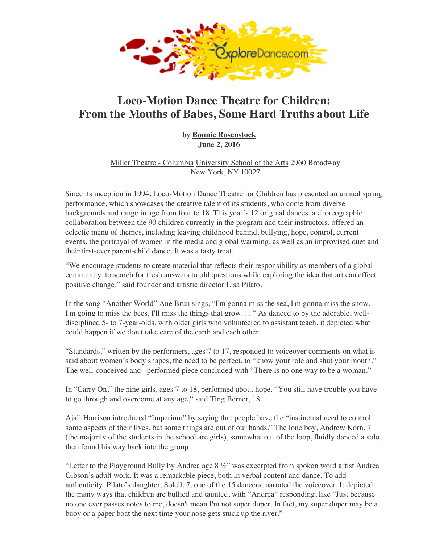## **Loco-Motion Dance Theatre for Children: From the Mout[hs](http://www.exploredance.com/indexexpanded.htm) of Babes, Some Hard Truths about**

**by Bonnie Ro[senstock](http://www.exploredance.com/list.htm?sid=30&s=topic) June 2, 20[16](http://www.exploredance.com/join.htm)**

[Miller Theatre - Columbia](http://www.exploredance.com/index.htm) Universi[ty School of the](http://www.exploredance.com/copyright.htm) Arts [2960](http://www.zazzle.com/robertabrams?rf=238479867609724382) [Broadway](http://www.exploredance.net/) New York, NY 10027

Since its inception in 1994, Loco-Motion Dance Theatre for Children has presented an a performance, which showcases the creative talent of its students, who come from diverse backgrounds and range in age from four to 18. This year's 12 original dances, a choreog collaboration [between the 90](http://www.exploredance.com/list.htm?sid=2&s=topic) children currently in the program and their instructors, offerently eclectic menu of themes, including leaving childhood behind, bullying, hope, control, cu events, the portrayal of women in the media and global warming, as well as an improvise their first-ever parent-child dance. It was a tasty treat.

"We encourage students to create material that reflects their responsibility as members of community, to search for fresh answers to old questions while exploring the idea that art positive change," said founder and artistic director Lisa Pilato.

[In the song "Another World" Ane B](http://www.kickstarter.com/projects/1306220552/exploredancecom)run sings, "I'm [gonna miss the sea,](http://www.exploredance.com/list.htm?sid=755&s=author) I'm gonna miss the sea I'm going to miss the bees, I'll miss the things that grow... "As danced to by the adorab disciplined 5- to 7-year-olds, with older girls who volunteered to assistant teach, it depic could happen if we don't take care of the earth [and each other.](http://www.millertheatre.com/) 

"Standards," written by the performers, ages 7 to 17, responded to voiceover comments said about women's body shapes, the need to be perfect, to "know your role and shut you The well-conceived and –performed piece concluded with "There is no one way to be a

In "Carry On," the nine girls, ages 7 to 18, performed about hope. "You still have trouble to go through and overcome at any age," said Ting Berner, 18.

Ajali Harrison introduced "Imperium" by saying that people have the "instinctual need to some aspects of their lives, but some things are out of our hands." The lone boy, Andrew (the majority of the students in the school are girls), somewhat out of the loop, fluidly da then found his way back into the group.

"Letter to the Playground Bully by Andrea age  $8\frac{1}{2}$ " was excerpted from spoken word and Gibson's adult work. It was a remarkable piece, both in verbal content and dance. To add authenticity, Pilato's daughter, Soleil, 7, one of the 15 dancers, narrated the voiceover. It the many ways that children are bullied and taunted, with "Andrea" responding, like "Ju no one ever passes notes to me, doesn't mean I'm not super duper. In fact, my super dupe [buoy or a paper boat the next time your nos](http://www.kickstarter.com/projects/1306220552/exploredancecom)e gets stuck up the river."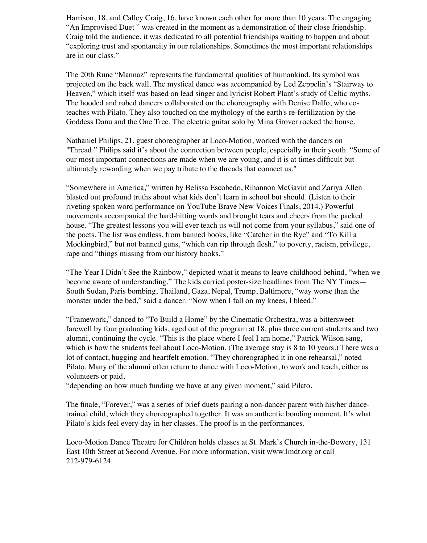[The](http://www.exploredance.com/list.htm?sid=755&s=author) hooded and robed dancers collaborated on the choreography with Denise Dalfo, wh teaches with Pilato. They also touched on the mythology of the earth's re-fertilization by the [Goddess D](http://www.exploredance.com/list.htm?sid=185&s=topic)anu and the One Tree. The electric guitar solo by Mina Grover rocked the house.

[Nathan](http://www.exploredance.com/list.htm?sid=151&s=topic)iel Philips, 21, guest choreographer at Loco-Motion, worked with the dancers on ["Threa](http://www.exploredance.com/list.htm?sid=2&s=topic)d." Philips said it's about the connection between people, especially in their youth. our most important connections are made when we are young, and it is at times difficult ultimately rewarding when we pay tribute to the threads that connect us."

"Somewhere in America," written by Belissa Escobedo, Rihannon McGavin and Zariya blasted out profound truths about what kids don't learn in school but should. (Listen to t [riveting](http://www.exploredance.com/list.htm?sid=29&s=type) spoken word performance on YouTube Brave New Voices Finals, 2014.) Power [movements accompanied the hard-hitting](http://www.exploredance.com/list.htm?sid=674&s=venue) words and brought tears and cheers from the p house. "The greatest lessons you will ever teach us will not come from your syllabus," s the poets. The list was endless, from banned books, like "Catcher in the Rye" and "To K Mockingbird," but not banned guns, "which can rip through flesh," to poverty, racism, p rape and "things missing from our history books."

"The Year I Didn't See the Rainbow," depicted what it means to leave childhood behind, "when we become aware of understanding." The kids carried poster-size headlines from The NY T South Sudan, Paris bombing, Thailand, Gaza, Nepal, Trump, Baltimore, "way worse tha monster under the bed," said a dancer. "Now when I fall on my knees, I bleed."

"Fra[mework," danc](http://exploredance.com/)ed to "To Build a Home" by the Cinematic Orchestra, was a bitterswe farewell by four graduating kids, aged out of the program at 18, plus three current students alumni, continuing the cycle. "This is the place where I feel I am home," Patrick Wilson which is how the students feel about Loco-Motion. (The average stay is 8 to 10 years.) The lot of contact, hugging and heartfelt emotion. "They choreographed it in one rehearsal," Pilato. Many of the alumni often return to dance with Loco-Motion, to work and teach, or volunteers or paid,

"depending on how much funding we have at any given moment," said Pilato.

The finale, "Forever," was a series of brief duets pairing a non-dancer parent with his/he trained child, which they choreographed together. It was an authentic bonding moment. Pilato's kids feel every day in her classes. The proof is in the performances.

Loco-Motion Dance Theatre for Children holds classes at St. Mark's Church in-the-Bow East 10th Street at Second Avenue. For more information, visit www.lmdt.org or call 212-979-6124.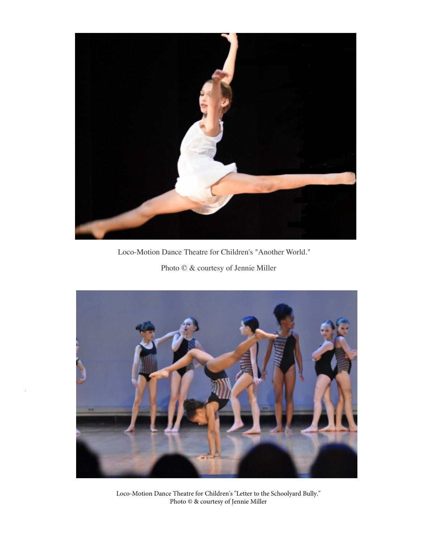

Loco-Motion Dance Theatre for Children's "Another World."

Photo © & courtesy of Jennie Miller



Loco-Motion Dance Theatre for Children's "Letter to the Schoolyard Bully." Photo © & courtesy of Jennie Miller